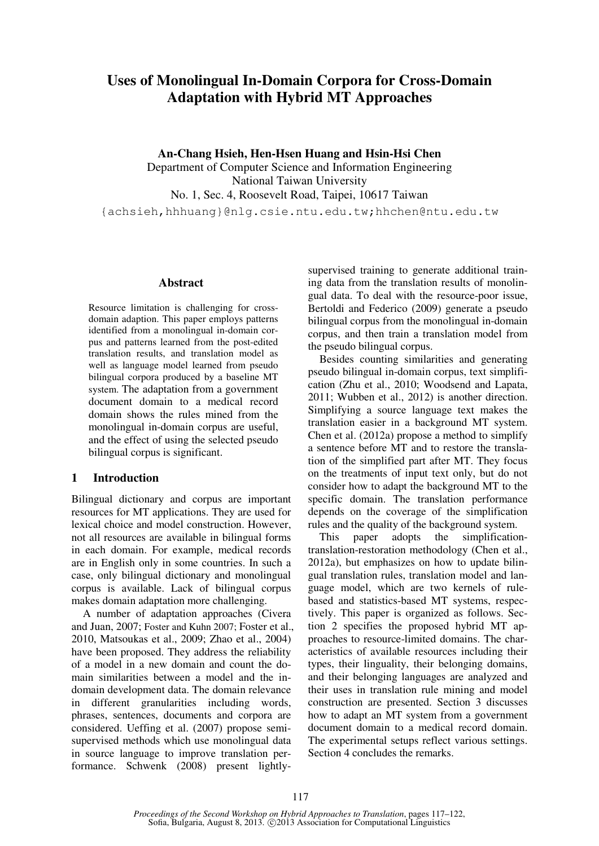# **Uses of Monolingual In-Domain Corpora for Cross-Domain Adaptation with Hybrid MT Approaches**

**An-Chang Hsieh, Hen-Hsen Huang and Hsin-Hsi Chen**  Department of Computer Science and Information Engineering National Taiwan University No. 1, Sec. 4, Roosevelt Road, Taipei, 10617 Taiwan

{achsieh,hhhuang}@nlg.csie.ntu.edu.tw;hhchen@ntu.edu.tw

#### **Abstract**

Resource limitation is challenging for crossdomain adaption. This paper employs patterns identified from a monolingual in-domain corpus and patterns learned from the post-edited translation results, and translation model as well as language model learned from pseudo bilingual corpora produced by a baseline MT system. The adaptation from a government document domain to a medical record domain shows the rules mined from the monolingual in-domain corpus are useful, and the effect of using the selected pseudo bilingual corpus is significant.

### **1 Introduction**

Bilingual dictionary and corpus are important resources for MT applications. They are used for lexical choice and model construction. However, not all resources are available in bilingual forms in each domain. For example, medical records are in English only in some countries. In such a case, only bilingual dictionary and monolingual corpus is available. Lack of bilingual corpus makes domain adaptation more challenging.

A number of adaptation approaches (Civera and Juan, 2007; Foster and Kuhn 2007; Foster et al., 2010, Matsoukas et al., 2009; Zhao et al., 2004) have been proposed. They address the reliability of a model in a new domain and count the domain similarities between a model and the indomain development data. The domain relevance in different granularities including words, phrases, sentences, documents and corpora are considered. Ueffing et al. (2007) propose semisupervised methods which use monolingual data in source language to improve translation performance. Schwenk (2008) present lightly-

supervised training to generate additional training data from the translation results of monolingual data. To deal with the resource-poor issue, Bertoldi and Federico (2009) generate a pseudo bilingual corpus from the monolingual in-domain corpus, and then train a translation model from the pseudo bilingual corpus.

Besides counting similarities and generating pseudo bilingual in-domain corpus, text simplification (Zhu et al., 2010; Woodsend and Lapata, 2011; Wubben et al., 2012) is another direction. Simplifying a source language text makes the translation easier in a background MT system. Chen et al. (2012a) propose a method to simplify a sentence before MT and to restore the translation of the simplified part after MT. They focus on the treatments of input text only, but do not consider how to adapt the background MT to the specific domain. The translation performance depends on the coverage of the simplification rules and the quality of the background system.

This paper adopts the simplificationtranslation-restoration methodology (Chen et al., 2012a), but emphasizes on how to update bilingual translation rules, translation model and language model, which are two kernels of rulebased and statistics-based MT systems, respectively. This paper is organized as follows. Section 2 specifies the proposed hybrid MT approaches to resource-limited domains. The characteristics of available resources including their types, their linguality, their belonging domains, and their belonging languages are analyzed and their uses in translation rule mining and model construction are presented. Section 3 discusses how to adapt an MT system from a government document domain to a medical record domain. The experimental setups reflect various settings. Section 4 concludes the remarks.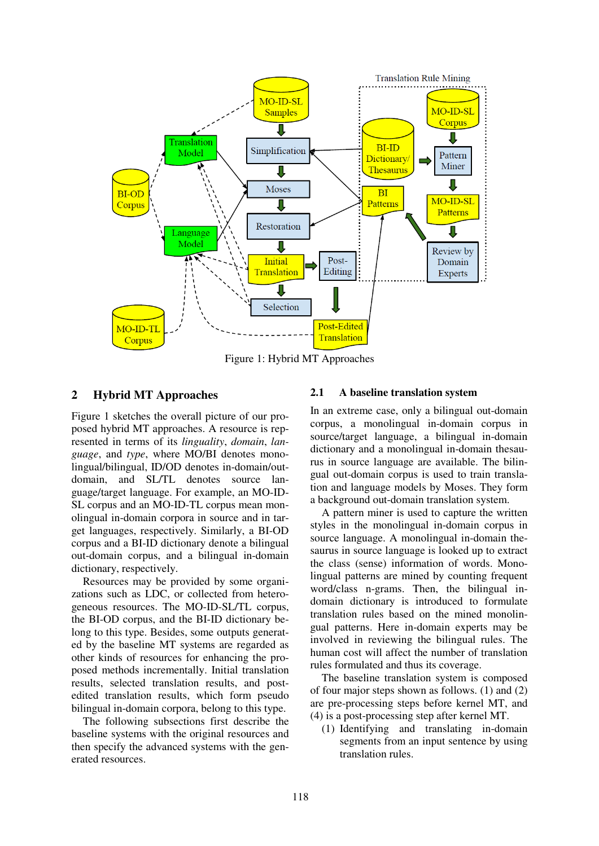

Figure 1: Hybrid MT Approaches

### **2 Hybrid MT Approaches**

Figure 1 sketches the overall picture of our proposed hybrid MT approaches. A resource is represented in terms of its *linguality*, *domain*, *language*, and *type*, where MO/BI denotes monolingual/bilingual, ID/OD denotes in-domain/outdomain, and SL/TL denotes source language/target language. For example, an MO-ID-SL corpus and an MO-ID-TL corpus mean monolingual in-domain corpora in source and in target languages, respectively. Similarly, a BI-OD corpus and a BI-ID dictionary denote a bilingual out-domain corpus, and a bilingual in-domain dictionary, respectively.

Resources may be provided by some organizations such as LDC, or collected from heterogeneous resources. The MO-ID-SL/TL corpus, the BI-OD corpus, and the BI-ID dictionary belong to this type. Besides, some outputs generated by the baseline MT systems are regarded as other kinds of resources for enhancing the proposed methods incrementally. Initial translation results, selected translation results, and postedited translation results, which form pseudo bilingual in-domain corpora, belong to this type.

The following subsections first describe the baseline systems with the original resources and then specify the advanced systems with the generated resources.

### **2.1 A baseline translation system**

In an extreme case, only a bilingual out-domain corpus, a monolingual in-domain corpus in source/target language, a bilingual in-domain dictionary and a monolingual in-domain thesaurus in source language are available. The bilingual out-domain corpus is used to train translation and language models by Moses. They form a background out-domain translation system.

A pattern miner is used to capture the written styles in the monolingual in-domain corpus in source language. A monolingual in-domain thesaurus in source language is looked up to extract the class (sense) information of words. Monolingual patterns are mined by counting frequent word/class n-grams. Then, the bilingual indomain dictionary is introduced to formulate translation rules based on the mined monolingual patterns. Here in-domain experts may be involved in reviewing the bilingual rules. The human cost will affect the number of translation rules formulated and thus its coverage.

The baseline translation system is composed of four major steps shown as follows. (1) and (2) are pre-processing steps before kernel MT, and (4) is a post-processing step after kernel MT.

(1) Identifying and translating in-domain segments from an input sentence by using translation rules.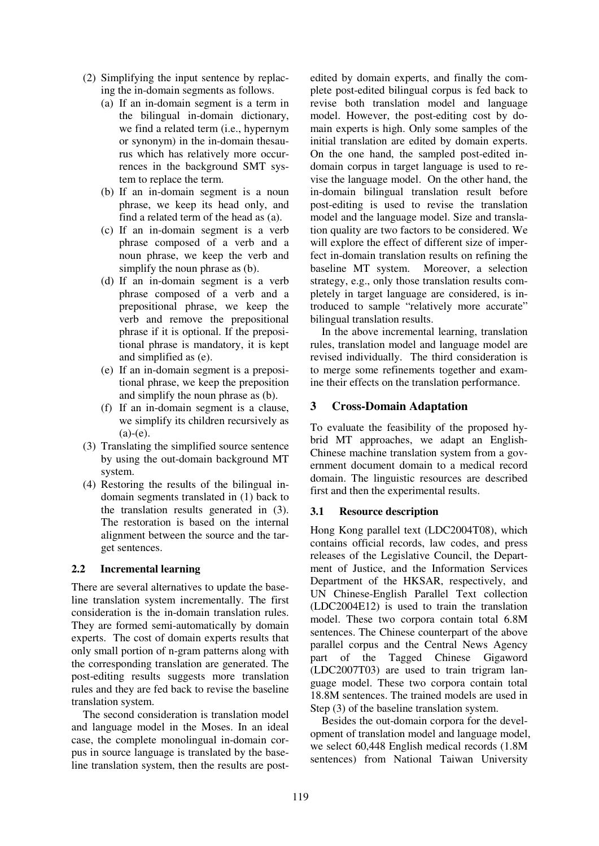- (2) Simplifying the input sentence by replacing the in-domain segments as follows.
	- (a) If an in-domain segment is a term in the bilingual in-domain dictionary, we find a related term (i.e., hypernym or synonym) in the in-domain thesaurus which has relatively more occurrences in the background SMT system to replace the term.
	- (b) If an in-domain segment is a noun phrase, we keep its head only, and find a related term of the head as (a).
	- (c) If an in-domain segment is a verb phrase composed of a verb and a noun phrase, we keep the verb and simplify the noun phrase as (b).
	- (d) If an in-domain segment is a verb phrase composed of a verb and a prepositional phrase, we keep the verb and remove the prepositional phrase if it is optional. If the prepositional phrase is mandatory, it is kept and simplified as (e).
	- (e) If an in-domain segment is a prepositional phrase, we keep the preposition and simplify the noun phrase as (b).
	- (f) If an in-domain segment is a clause, we simplify its children recursively as  $(a)-(e)$ .
- (3) Translating the simplified source sentence by using the out-domain background MT system.
- (4) Restoring the results of the bilingual indomain segments translated in (1) back to the translation results generated in (3). The restoration is based on the internal alignment between the source and the target sentences.

### **2.2 Incremental learning**

There are several alternatives to update the baseline translation system incrementally. The first consideration is the in-domain translation rules. They are formed semi-automatically by domain experts. The cost of domain experts results that only small portion of n-gram patterns along with the corresponding translation are generated. The post-editing results suggests more translation rules and they are fed back to revise the baseline translation system.

The second consideration is translation model and language model in the Moses. In an ideal case, the complete monolingual in-domain corpus in source language is translated by the baseline translation system, then the results are postedited by domain experts, and finally the complete post-edited bilingual corpus is fed back to revise both translation model and language model. However, the post-editing cost by domain experts is high. Only some samples of the initial translation are edited by domain experts. On the one hand, the sampled post-edited indomain corpus in target language is used to revise the language model. On the other hand, the in-domain bilingual translation result before post-editing is used to revise the translation model and the language model. Size and translation quality are two factors to be considered. We will explore the effect of different size of imperfect in-domain translation results on refining the baseline MT system. Moreover, a selection strategy, e.g., only those translation results completely in target language are considered, is introduced to sample "relatively more accurate" bilingual translation results.

In the above incremental learning, translation rules, translation model and language model are revised individually. The third consideration is to merge some refinements together and examine their effects on the translation performance.

## **3 Cross-Domain Adaptation**

To evaluate the feasibility of the proposed hybrid MT approaches, we adapt an English-Chinese machine translation system from a government document domain to a medical record domain. The linguistic resources are described first and then the experimental results.

### **3.1 Resource description**

Hong Kong parallel text (LDC2004T08), which contains official records, law codes, and press releases of the Legislative Council, the Department of Justice, and the Information Services Department of the HKSAR, respectively, and UN Chinese-English Parallel Text collection (LDC2004E12) is used to train the translation model. These two corpora contain total 6.8M sentences. The Chinese counterpart of the above parallel corpus and the Central News Agency part of the Tagged Chinese Gigaword (LDC2007T03) are used to train trigram language model. These two corpora contain total 18.8M sentences. The trained models are used in Step (3) of the baseline translation system.

Besides the out-domain corpora for the development of translation model and language model, we select 60,448 English medical records (1.8M sentences) from National Taiwan University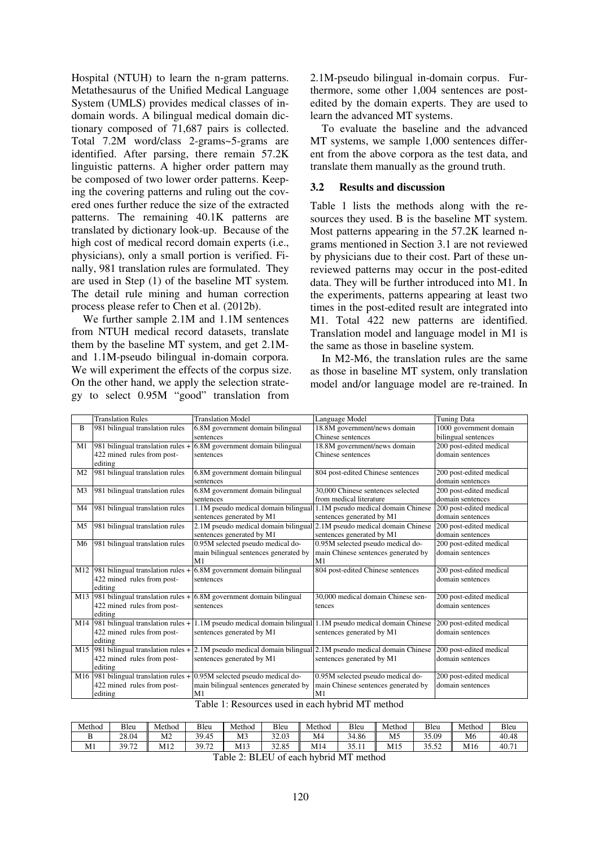Hospital (NTUH) to learn the n-gram patterns. Metathesaurus of the Unified Medical Language System (UMLS) provides medical classes of indomain words. A bilingual medical domain dictionary composed of 71,687 pairs is collected. Total 7.2M word/class 2-grams~5-grams are identified. After parsing, there remain 57.2K linguistic patterns. A higher order pattern may be composed of two lower order patterns. Keeping the covering patterns and ruling out the covered ones further reduce the size of the extracted patterns. The remaining 40.1K patterns are translated by dictionary look-up. Because of the high cost of medical record domain experts (i.e., physicians), only a small portion is verified. Finally, 981 translation rules are formulated. They are used in Step (1) of the baseline MT system. The detail rule mining and human correction process please refer to Chen et al. (2012b).

We further sample 2.1M and 1.1M sentences from NTUH medical record datasets, translate them by the baseline MT system, and get 2.1Mand 1.1M-pseudo bilingual in-domain corpora. We will experiment the effects of the corpus size. On the other hand, we apply the selection strategy to select 0.95M "good" translation from

2.1M-pseudo bilingual in-domain corpus. Furthermore, some other 1,004 sentences are postedited by the domain experts. They are used to learn the advanced MT systems.

To evaluate the baseline and the advanced MT systems, we sample 1,000 sentences different from the above corpora as the test data, and translate them manually as the ground truth.

### **3.2 Results and discussion**

Table 1 lists the methods along with the resources they used. B is the baseline MT system. Most patterns appearing in the 57.2K learned ngrams mentioned in Section 3.1 are not reviewed by physicians due to their cost. Part of these unreviewed patterns may occur in the post-edited data. They will be further introduced into M1. In the experiments, patterns appearing at least two times in the post-edited result are integrated into M1. Total 422 new patterns are identified. Translation model and language model in M1 is the same as those in baseline system.

In M2-M6, the translation rules are the same as those in baseline MT system, only translation model and/or language model are re-trained. In

|                | <b>Translation Rules</b>                                                       | <b>Translation Model</b>                                                   | Language Model                                                          | Tuning Data             |  |  |  |  |
|----------------|--------------------------------------------------------------------------------|----------------------------------------------------------------------------|-------------------------------------------------------------------------|-------------------------|--|--|--|--|
| B              | 981 bilingual translation rules                                                | 6.8M government domain bilingual                                           | 18.8M government/news domain                                            | 1000 government domain  |  |  |  |  |
|                |                                                                                | sentences                                                                  | Chinese sentences                                                       | bilingual sentences     |  |  |  |  |
| M1             |                                                                                | 981 bilingual translation rules $+$ 6.8M government domain bilingual       | 18.8M government/news domain                                            | 200 post-edited medical |  |  |  |  |
|                | 422 mined rules from post-                                                     | sentences                                                                  | Chinese sentences                                                       | domain sentences        |  |  |  |  |
|                | editing                                                                        |                                                                            |                                                                         |                         |  |  |  |  |
| M <sub>2</sub> | 981 bilingual translation rules                                                | 6.8M government domain bilingual                                           | 804 post-edited Chinese sentences                                       | 200 post-edited medical |  |  |  |  |
|                |                                                                                | sentences                                                                  |                                                                         | domain sentences        |  |  |  |  |
| M <sub>3</sub> | 981 bilingual translation rules                                                | 6.8M government domain bilingual                                           | 30,000 Chinese sentences selected                                       | 200 post-edited medical |  |  |  |  |
|                |                                                                                | sentences                                                                  | from medical literature                                                 | domain sentences        |  |  |  |  |
| M4             | 981 bilingual translation rules                                                |                                                                            | 1.1M pseudo medical domain bilingual 1.1M pseudo medical domain Chinese | 200 post-edited medical |  |  |  |  |
|                |                                                                                | sentences generated by M1                                                  | sentences generated by M1                                               | domain sentences        |  |  |  |  |
| M5             | 981 bilingual translation rules                                                | 2.1M pseudo medical domain bilingual 2.1M pseudo medical domain Chinese    |                                                                         | 200 post-edited medical |  |  |  |  |
|                |                                                                                | sentences generated by M1                                                  | sentences generated by M1                                               | domain sentences        |  |  |  |  |
| M <sub>6</sub> | 981 bilingual translation rules                                                | 0.95M selected pseudo medical do-                                          | 0.95M selected pseudo medical do-                                       | 200 post-edited medical |  |  |  |  |
|                |                                                                                | main bilingual sentences generated by                                      | main Chinese sentences generated by                                     | domain sentences        |  |  |  |  |
|                |                                                                                | M <sub>1</sub>                                                             | M1                                                                      |                         |  |  |  |  |
|                |                                                                                | M12 981 bilingual translation rules $+$ 6.8M government domain bilingual   | 804 post-edited Chinese sentences                                       | 200 post-edited medical |  |  |  |  |
|                | 422 mined rules from post-                                                     | sentences                                                                  |                                                                         | domain sentences        |  |  |  |  |
|                | editing                                                                        |                                                                            |                                                                         |                         |  |  |  |  |
|                |                                                                                | M13 981 bilingual translation rules $+ 6.8M$ government domain bilingual   | 30,000 medical domain Chinese sen-                                      | 200 post-edited medical |  |  |  |  |
|                | 422 mined rules from post-                                                     | sentences                                                                  | tences                                                                  | domain sentences        |  |  |  |  |
|                | editing                                                                        |                                                                            |                                                                         |                         |  |  |  |  |
| M14            | 981 bilingual translation rules +                                              |                                                                            | 1.1M pseudo medical domain bilingual 1.1M pseudo medical domain Chinese | 200 post-edited medical |  |  |  |  |
|                | 422 mined rules from post-                                                     | sentences generated by M1                                                  | sentences generated by M1                                               | domain sentences        |  |  |  |  |
|                | editing                                                                        |                                                                            |                                                                         |                         |  |  |  |  |
| M15            | 981 bilingual translation rules +                                              | 2.1M pseudo medical domain bilingual 2.1M pseudo medical domain Chinese    |                                                                         | 200 post-edited medical |  |  |  |  |
|                | 422 mined rules from post-                                                     | sentences generated by M1                                                  | sentences generated by M1                                               | domain sentences        |  |  |  |  |
|                | editing                                                                        |                                                                            |                                                                         |                         |  |  |  |  |
|                |                                                                                | M16  981 bilingual translation rules $+$ 0.95M selected pseudo medical do- | 0.95M selected pseudo medical do-                                       | 200 post-edited medical |  |  |  |  |
|                | 422 mined rules from post-                                                     | main bilingual sentences generated by                                      | main Chinese sentences generated by                                     | domain sentences        |  |  |  |  |
|                | editing                                                                        | M1                                                                         | M1                                                                      |                         |  |  |  |  |
|                | $T = 1.1 - 1.$ Dec.<br>1.1.<br>1. 1. 1. $1.1$ <b>1.1.4 T</b> $\ldots$ 1. $1.1$ |                                                                            |                                                                         |                         |  |  |  |  |

| Table 1: Resources used in each hybrid MT method |  |  |  |
|--------------------------------------------------|--|--|--|
|--------------------------------------------------|--|--|--|

| Method                  | Bleu  | Method         | Bleu  | Method         | Bleu  | Method         | Bleu  | Method         | Bleu           | Method | Bleu  |
|-------------------------|-------|----------------|-------|----------------|-------|----------------|-------|----------------|----------------|--------|-------|
|                         | 28.04 | M <sub>2</sub> | 39.45 | M <sub>3</sub> | 32.03 | M <sub>4</sub> | 34.86 | M <sub>5</sub> | 35.09          | M6     | 40.48 |
| M1                      | 39.72 | M12            | 39.72 | M13            | 32.85 | M14            | 35.11 | M15            | 255<br>ے بی رو | M16    | 40.71 |
| $T$ $T$ $T$<br>$\cdots$ |       |                |       |                |       |                |       |                |                |        |       |

Table 2: BLEU of each hybrid MT method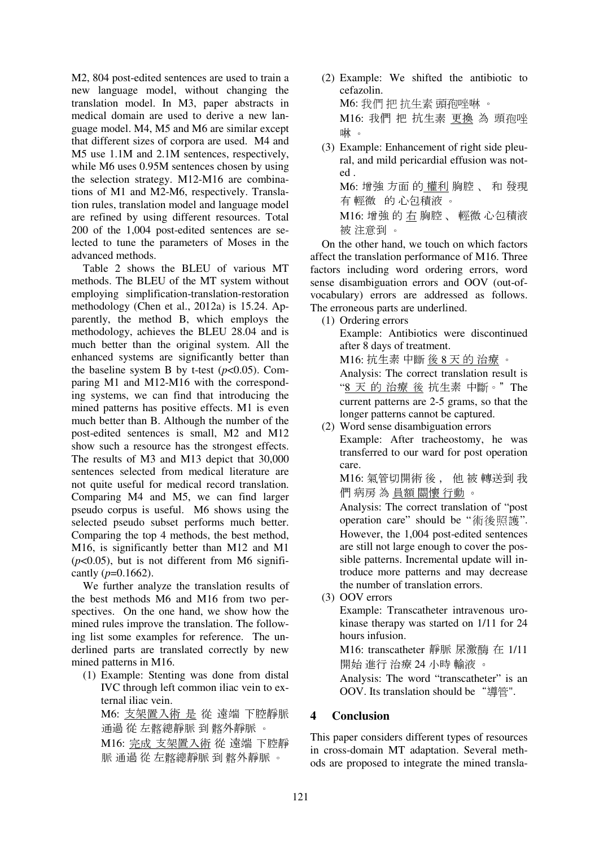M2, 804 post-edited sentences are used to train a new language model, without changing the translation model. In M3, paper abstracts in medical domain are used to derive a new language model. M4, M5 and M6 are similar except that different sizes of corpora are used. M4 and M5 use 1.1M and 2.1M sentences, respectively, while M6 uses 0.95M sentences chosen by using the selection strategy. M12-M16 are combinations of M1 and M2-M6, respectively. Translation rules, translation model and language model are refined by using different resources. Total 200 of the 1,004 post-edited sentences are selected to tune the parameters of Moses in the advanced methods.

Table 2 shows the BLEU of various MT methods. The BLEU of the MT system without employing simplification-translation-restoration methodology (Chen et al., 2012a) is 15.24. Apparently, the method B, which employs the methodology, achieves the BLEU 28.04 and is much better than the original system. All the enhanced systems are significantly better than the baseline system B by t-test  $(p<0.05)$ . Comparing M1 and M12-M16 with the corresponding systems, we can find that introducing the mined patterns has positive effects. M1 is even much better than B. Although the number of the post-edited sentences is small, M2 and M12 show such a resource has the strongest effects. The results of M3 and M13 depict that 30,000 sentences selected from medical literature are not quite useful for medical record translation. Comparing M4 and M5, we can find larger pseudo corpus is useful. M6 shows using the selected pseudo subset performs much better. Comparing the top 4 methods, the best method, M16, is significantly better than M12 and M1  $(p<0.05)$ , but is not different from M6 significantly (*p*=0.1662).

We further analyze the translation results of the best methods M6 and M16 from two perspectives. On the one hand, we show how the mined rules improve the translation. The following list some examples for reference. The underlined parts are translated correctly by new mined patterns in M16.

(1) Example: Stenting was done from distal IVC through left common iliac vein to external iliac vein.

M6: 支架置入術 是 從 遠端 下腔靜脈 通過 從 左髂總靜脈 到 髂外靜脈 。

M16: 完成 支架置入術 從 遠端 下腔靜 脈 通過 從 左髂總靜脈 到 髂外靜脈 。

- (2) Example: We shifted the antibiotic to cefazolin. M6: 我們 把 抗生素 頭孢唑啉 。 M16: 我們 把 抗生素 更換 為 頭孢唑 啉 。
- (3) Example: Enhancement of right side pleural, and mild pericardial effusion was noted . M6: 增強 方面 的 權利 胸腔 、 和 發現 有 輕微 的 心包積液 。 M16: 增強 的 右 胸腔 、 輕微 心包積液 被 注意到 。

On the other hand, we touch on which factors affect the translation performance of M16. Three factors including word ordering errors, word sense disambiguation errors and OOV (out-ofvocabulary) errors are addressed as follows. The erroneous parts are underlined.

(1) Ordering errors

Example: Antibiotics were discontinued after 8 days of treatment.

M16: 抗生素 中斷 後 8 天 的 治療 。

Analysis: The correct translation result is "8 天 的 治療 後 抗生素 中斷。"The current patterns are 2-5 grams, so that the longer patterns cannot be captured.

(2) Word sense disambiguation errors Example: After tracheostomy, he was transferred to our ward for post operation care.

M16: 氣管切開術 後 , 他 被 轉送到 我 們 病房 為 員額 關懷 行動 。

Analysis: The correct translation of "post operation care" should be "術後照護". However, the 1,004 post-edited sentences are still not large enough to cover the possible patterns. Incremental update will introduce more patterns and may decrease the number of translation errors.

(3) OOV errors

Example: Transcatheter intravenous urokinase therapy was started on 1/11 for 24 hours infusion.

M16: transcatheter 靜脈 尿激酶 在 1/11 開始 進行 治療 24 小時 輸液 。

Analysis: The word "transcatheter" is an OOV. Its translation should be"導管".

# **4 Conclusion**

This paper considers different types of resources in cross-domain MT adaptation. Several methods are proposed to integrate the mined transla